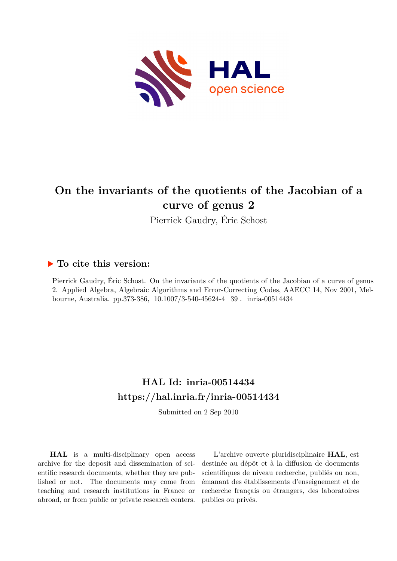

# **On the invariants of the quotients of the Jacobian of a curve of genus 2**

Pierrick Gaudry, Éric Schost

## **To cite this version:**

Pierrick Gaudry, Éric Schost. On the invariants of the quotients of the Jacobian of a curve of genus 2. Applied Algebra, Algebraic Algorithms and Error-Correcting Codes, AAECC 14, Nov 2001, Melbourne, Australia. pp.373-386, 10.1007/3-540-45624-4\_39. inria-00514434

# **HAL Id: inria-00514434 <https://hal.inria.fr/inria-00514434>**

Submitted on 2 Sep 2010

**HAL** is a multi-disciplinary open access archive for the deposit and dissemination of scientific research documents, whether they are published or not. The documents may come from teaching and research institutions in France or abroad, or from public or private research centers.

L'archive ouverte pluridisciplinaire **HAL**, est destinée au dépôt et à la diffusion de documents scientifiques de niveau recherche, publiés ou non, émanant des établissements d'enseignement et de recherche français ou étrangers, des laboratoires publics ou privés.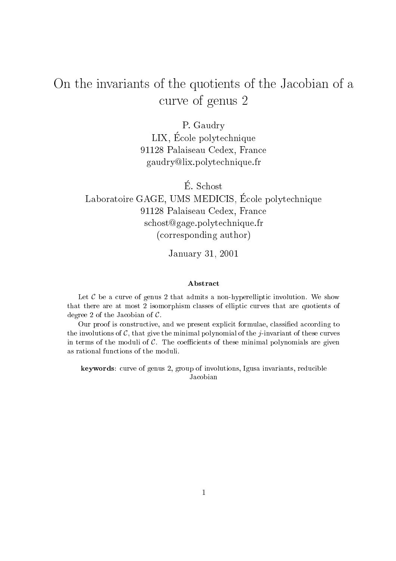# On the invariants of the quotients of the Ja
obian of <sup>a</sup> urve of genus <sup>2</sup>

P. Gaudry LIX, E
ole polyte
hnique 91128 Palaiseau Cedex, Fran
e gaudrylix.polyte
hnique.fr

E. S
host

## Laboratoire GAGE, UMS MEDICIS, École polytechnique 91128 Palaiseau Cedex, Fran
e schost@gage.polytechnique.fr (
orresponding author)

January 31, 2001

#### Abstra
t

Let  $C$  be a curve of genus 2 that admits a non-hyperelliptic involution. We show that there are at most 2 isomorphism classes of elliptic curves that are quotients of degree 2 of the Jacobian of  $\mathcal{C}$ .

Our proof is constructive, and we present explicit formulae, classified according to the involutions of  $\mathcal{C}$ , that give the minimal polynomial of the *j*-invariant of these curves in terms of the moduli of  $C$ . The coefficients of these minimal polynomials are given as rational fun
tions of the moduli.

keywords: curve of genus 2, group of involutions, Igusa invariants, reducible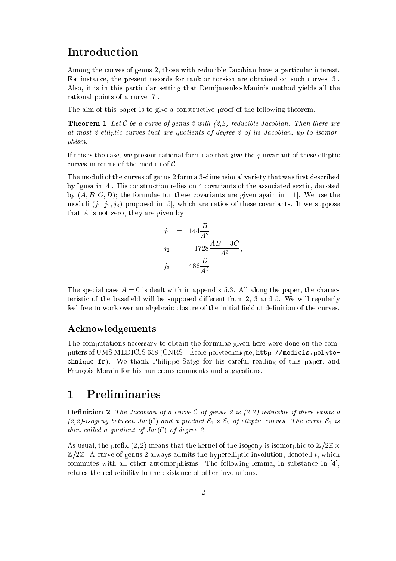## **Introduction**

Among the curves of genus 2, those with reducible Jacobian have a particular interest. For instance, the present records for rank or torsion are obtained on such curves [3]. Also, it is in this particular setting that Dem'janenko-Manin's method yields all the rational points of a curve [7].

The aim of this paper is to give a constructive proof of the following theorem.

**Theorem 1** Let C be a curve of genus 2 with  $(2,2)$ -reducible Jacobian. Then there are at most 2 elliptic curves that are quotients of degree 2 of its Jacobian, up to isomorphism.

If this is the case, we present rational formulae that give the  $j$ -invariant of these elliptic curves in terms of the moduli of  $C$ .

The moduli of the curves of genus 2 form a 3-dimensional variety that was first described by Igusa in  $[4]$ . His construction relies on 4 covariants of the associated sextic, denoted by  $(A, B, C, D)$ ; the formulae for these covariants are given again in [11]. We use the moduli  $(j_1, j_2, j_3)$  proposed in [5], which are ratios of these covariants. If we suppose that  $A$  is not zero, they are given by

$$
j_1 = 144 \frac{B}{A^2},
$$
  
\n
$$
j_2 = -1728 \frac{AB - 3C}{A^3},
$$
  
\n
$$
j_3 = 486 \frac{D}{A^5}.
$$

The special case  $A = 0$  is dealt with in appendix 5.3. All along the paper, the characteristic of the basefield will be supposed different from 2, 3 and 5. We will regularly feel free to work over an algebraic closure of the initial field of definition of the curves.

### A
knowledgements

The computations necessary to obtain the formulae given here were done on the computers of UMS MEDICIS 658 (CNRS – École polytechnique, http://medicis.polytechnique.fr). We thank Philippe Satgé for his careful reading of this paper, and Francois Morain for his numerous comments and suggestions.

#### **Preliminaries**  $\mathbf{1}$

**Definition 2** The Jacobian of a curve C of genus 2 is  $(2,2)$ -reducible if there exists a (2,2)-isogeny between Ja
(C) and <sup>a</sup> produ
t E1 - E2 of el lipti urves. The urve E1 is then called a quotient of  $Jac(C)$  of degree 2.

As usual, the prefix (2, 2) means that the kernel of the isogeny is isomorphic to  $\mathbb{Z}/2\mathbb{Z}\times$  $\mathbb{Z}/2\mathbb{Z}$ . A curve of genus 2 always admits the hyperelliptic involution, denoted  $\iota$ , which commutes with all other automorphisms. The following lemma, in substance in  $[4]$ , relates the reducibility to the existence of other involutions.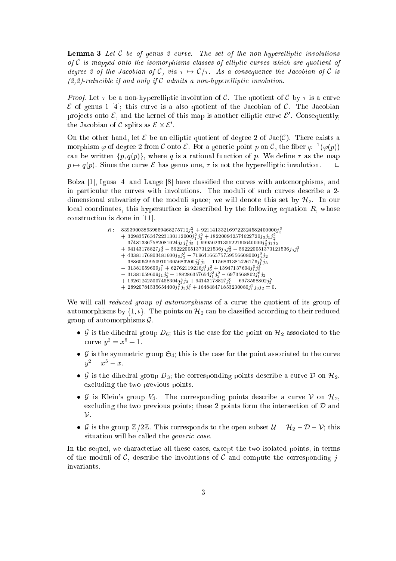**Lemma 3** Let C be of genus 2 curve. The set of the non-hyperelliptic involutions of  $C$  is mapped onto the isomorphisms classes of elliptic curves which are quotient of degree 2 of the Jacobian of C, via  $\tau \mapsto C/\tau$ . As a consequence the Jacobian of C is  $(2,2)$ -reducible if and only if C admits a non-hyperelliptic involution.

*Proof.* Let  $\tau$  be a non-hyperelliptic involution of C. The quotient of C by  $\tau$  is a curve e is given a fatt this case is a complete the Jacobian of the Jacobian of the Tamer Concording projects onto  $\epsilon$ , and the kernel of this map is another emptic curve  $\epsilon$ . Consequently, the Jacopian of  $C$  spilts as  $C \times C$ .

On the other hand, let  $\mathcal E$  be an elliptic quotient of degree 2 of Jac(C). There exists a morphism  $\varphi$  of degree 2 from C onto  $\varepsilon$ . For a generic point p on C, the fiber  $\varphi^{-1}(\varphi(p))$ can be written  $\{p,q(p)\}\text{, where }q\text{ is a rational function of }p.$  We define  $\tau$  as the map  $p \mapsto q(p)$ . Since the curve  $\mathcal E$  has genus one,  $\tau$  is not the hyperelliptic involution.  $\Box$ 

Bolza [1], Igusa [4] and Lange [8] have classified the curves with automorphisms, and in particular the curves with involutions. The moduli of such curves describe a 2dimensional subvariety of the moduli space; we will denote this set by  $\mathcal{H}_2$ . In our local coordinates, this hypersurface is described by the following equation  $R$ , whose construction is done in  $[11]$ .

> $\mu$ : 839390038939039408273712 $j_3^2$  + 921141332109722324382400000 $j_3^2$  $+$  32983576347223130112000J<sub>1</sub> j<sub>3</sub> + 182200942574622720j3J1J<sub>2</sub>  $-$  574615507562061024 $j_3$   $j_1^{\scriptscriptstyle\rm T}$   $j_2^{\scriptscriptstyle\rm T}$  + 9995025155522160040000 $j_3^{\scriptscriptstyle\rm T}$   $j_1^{\scriptscriptstyle\rm T}$   $j_2$  $+$  94145116821J<sub>2</sub> - 562220051515121556J3J<sub>2</sub> - 562220051515121556J3J<sub>1</sub><br>+ 43381176803481600j<sub>3</sub> j<sub>2</sub> - 71964166575759556608000j<sub>3</sub> j<sub>2</sub>  $- 3381059609j_1^7 + 62762119218j_1^4 j_2^2 + 13947137604j_1^3 j_2^3 \ - 31381059609j_1^7 + 62762119218j_1^4 j_2^2 + 13947137604j_1^3 j_2^3 \ - 31381059609j_1 j_2^4 - 188286357654j_1^3 j_2^2 - 6973568802j_1^6 j_2 \ + 192612425007458304j_1^4$

We will call *reduced group of automorphisms* of a curve the quotient of its group of automorphisms by  $\{1, \iota\}$ . The points on  $\mathcal{H}_2$  can be classified according to their reduced group of automorphisms  $\mathcal{G}$ .

- G is the dihedral group  $D_6$ ; this is the case for the point on  $\mathcal{H}_2$  associated to the curve  $y^2 = x^6 + 1$ .
- is the symmetric Control in the point association to the point association association to the point as  $y^2 = x^5 - x$ .
- G is the dihedral group  $D_3$ ; the corresponding points describe a curve D on  $\mathcal{H}_2$ , ex
luding the two previous points.
- G is Klein's group  $V_4$ . The corresponding points describe a curve V on  $\mathcal{H}_2$ , excluding the two previous points; these 2 points form the intersection of  $\mathcal D$  and  $\mathcal{V}$ .
- G is the group  $\mathbb{Z}/2\mathbb{Z}$ . This corresponds to the open subset  $\mathcal{U} = \mathcal{H}_2 \mathcal{D} \mathcal{V}$ ; this situation will be called the *generic* case.

In the sequel, we characterize all these cases, except the two isolated points, in terms of the moduli of C, describe the involutions of C and compute the corresponding jinvariants.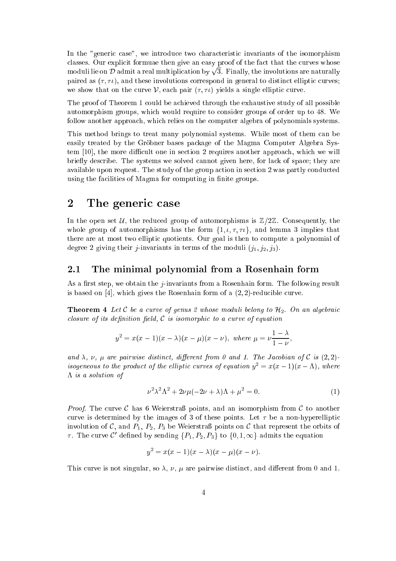In the "generic case", we introduce two characteristic invariants of the isomorphism classes. Our explicit formuae then give an easy proof of the fact that the curves whose moduli lie on  $\mathcal D$  admit a real multiplication by  $\sqrt{3}$ . Finally, the involutions are naturally paired as  $(\tau, \tau)$ , and these involutions correspond in general to distinct elliptic curves; we show that on the curve  $\mathcal V$ , each pair  $(\tau, \tau \iota)$  yields a single elliptic curve.

The proof of Theorem 1 ould be a
hieved through the exhaustive study of all possible automorphism groups, which would require to consider groups of order up to 48. We follow another approa
h, whi
h relies on the omputer algebra of polynomials systems.

This method brings to treat many polynomial systems. While most of them an be easily treated by the Gröbner bases package of the Magma Computer Algebra System [10], the more difficult one in section 2 requires another approach, which we will briefly describe. The systems we solved cannot given here, for lack of space; they are available upon request. The study of the group action in section 2 was partly conducted using the facilities of Magma for computing in finite groups.

#### $\overline{2}$ The generic case

In the open set U, the reduced group of automorphisms is  $\mathbb{Z}/2\mathbb{Z}$ . Consequently, the whole group of automorphisms has the form  $\{1, \iota, \tau, \tau\iota\}$ , and lemma 3 implies that there are at most two ellipti quotients. Our goal is then to ompute a polynomial of degree 2 giving their *j*-invariants in terms of the moduli  $(j_1, j_2, j_3)$ .

### 2.1 The minimal polynomial from a Rosenhain form

As a first step, we obtain the *j*-invariants from a Rosenhain form. The following result is based on  $[4]$ , which gives the Rosenhain form of a  $(2, 2)$ -reducible curve.

**Theorem 4** Let C be a curve of genus 2 whose moduli belong to  $\mathcal{H}_2$ . On an algebraic closure of its definition field,  $C$  is isomorphic to a curve of equation

$$
y^2 = x(x-1)(x-\lambda)(x-\mu)(x-\nu)
$$
, where  $\mu = \nu \frac{1-\lambda}{1-\nu}$ ,

and  $\lambda$ ,  $\nu$ ,  $\mu$  are pairwise distinct, different from 0 and 1. The Jacobian of C is (2,2)isogeneous to the product of the elliptic curves of equation  $y^2 = x(x-1)(x-\Lambda)$ , where  $\Lambda$  is a solution of

$$
\nu^2 \lambda^2 \Lambda^2 + 2\nu \mu (-2\nu + \lambda)\Lambda + \mu^2 = 0.
$$
 (1)

*Proof.* The curve C has 6 Weierstraß points, and an isomorphism from C to another curve is determined by the images of 3 of these points. Let  $\tau$  be a non-hyperelliptic involution of C, and  $P_1$ ,  $P_2$ ,  $P_3$  be Weierstraß points on C that represent the orbits of  $\tau$ . The curve C' defined by sending  $\{P_1, P_2, P_3\}$  to  $\{0, 1, \infty\}$  admits the equation

$$
y^2 = x(x-1)(x-\lambda)(x-\mu)(x-\nu).
$$

This curve is not singular, so  $\lambda$ ,  $\nu$ ,  $\mu$  are pairwise distinct, and different from 0 and 1.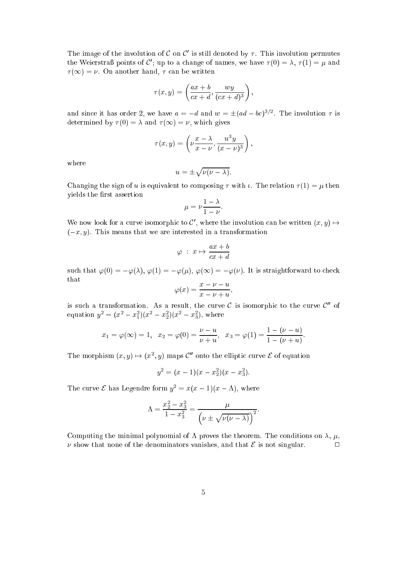The image of the involution of C on C is still denoted by  $\tau$  . This involution permutes the Weierstraß points of C'; up to a change of names, we have  $\tau(0) = \lambda$ ,  $\tau(1) = \mu$  and  $\tau(\infty) = \nu$ . On another hand,  $\tau$  can be written

$$
\tau(x,y) = \left(\frac{ax+b}{cx+d}, \frac{wy}{(cx+d)^3}\right),\,
$$

and since it has order 2, we have  $a = -d$  and  $w = \pm (ad - bc)^{3/2}$ . The involution  $\tau$  is determined by  $\tau(0) = \lambda$  and  $\tau(\infty) = \nu$ , which gives

$$
\tau(x,y) = \left(\nu \frac{x-\lambda}{x-\nu}, \frac{u^3y}{(x-\nu)^3}\right),\,
$$

where

$$
u=\pm\sqrt{\nu(\nu-\lambda)}.
$$

Changing the sign of u is equivalent to composing  $\tau$  with  $\iota$ . The relation  $\tau(1) = \mu$  then vields the first assertion

$$
\mu = \nu \frac{1 - \lambda}{1 - \nu}.
$$

We now look for a curve isomorphic to C, where the involution can be written  $(x, y) \mapsto$  $(-x, y)$ . This means that we are interested in a transformation

$$
\varphi\;:\;x\mapsto \frac{ax+b}{cx+d}
$$

such that  $\varphi(0) = -\varphi(\lambda), \varphi(1) = -\varphi(\mu), \varphi(\infty) = -\varphi(\nu)$ . It is straightforward to check that

$$
\varphi(x) = \frac{x - \nu - u}{x - \nu + u},
$$

is such a transformation. As a result, the curve  $C$  is isomorphic to the curve  $C''$  of equation  $y^2 = (x^2 - x_1^2)(x^2 - x_2^2)(x^2 - x_3^2)$ , where

$$
x_1 = \varphi(\infty) = 1
$$
,  $x_2 = \varphi(0) = \frac{\nu - u}{\nu + u}$ ,  $x_3 = \varphi(1) = \frac{1 - (\nu - u)}{1 - (\nu + u)}$ 

:

The morphism  $(x, y) \mapsto (x^2, y)$  maps C<sup>orr</sup> onto the elliptic curve  $\varepsilon$  of equation

$$
y^2 = (x - 1)(x - x_2^2)(x - x_3^2).
$$

The curve  $\mathcal E$  has Legendre form  $y^2 = x(x-1)(x-\Lambda)$ , where

$$
\Lambda = \frac{x_2^2 - x_3^2}{1 - x_3^2} = \frac{\mu}{\left(\nu \pm \sqrt{\nu(\nu - \lambda)}\right)^2}.
$$

Computing the minimal polynomial of  $\Lambda$  proves the theorem. The conditions on  $\lambda$ ,  $\mu$ ,  $\nu$  show that none of the denominators vanishes, and that  $\mathcal E$  is not singular.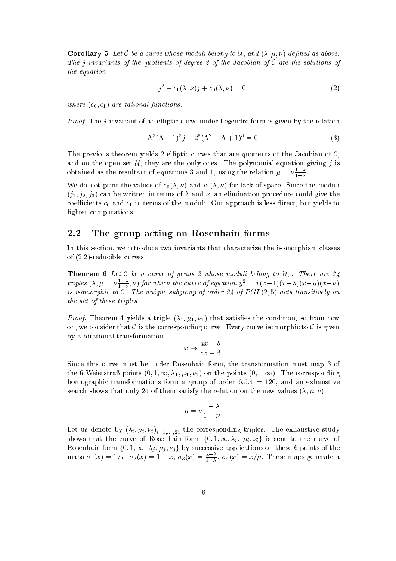**Corollary 5** Let C be a curve whose moduli belong to U, and  $(\lambda, \mu, \nu)$  defined as above. The *j*-invariants of the quotients of degree 2 of the Jacobian of  $C$  are the solutions of the equation

$$
j^{2} + c_{1}(\lambda, \nu)j + c_{0}(\lambda, \nu) = 0,
$$
\n(2)

where  $(c_0, c_1)$  are rational functions.

Proof. The *j*-invariant of an elliptic curve under Legendre form is given by the relation

$$
\Lambda^2 (\Lambda - 1)^2 j - 2^8 (\Lambda^2 - \Lambda + 1)^3 = 0.
$$
 (3)

The previous theorem yields 2 elliptic curves that are quotients of the Jacobian of  $\mathcal{C}$ , and on the open set  $U$ , they are the only ones. The polynomial equation giving j is  $\Box$ obtained as the resultant of equations 3 and 1, using the relation  $\mu = \nu \frac{1-\nu}{1-\nu}$ 

We do not print the values of  $c_0(\lambda, \nu)$  and  $c_1(\lambda, \nu)$  for lack of space. Since the moduli  $(j_1, j_2, j_3)$  can be written in terms of  $\lambda$  and  $\nu$ , an elimination procedure could give the coefficients  $c_0$  and  $c_1$  in terms of the moduli. Our approach is less direct, but yields to lighter omputations.

#### 2.2 The group acting on Rosenhain forms

In this section, we introduce two invariants that characterize the isomorphism classes of (2,2)-redu
ible urves.

**Theorem 6** Let C be a curve of genus 2 whose moduli belong to  $H_2$ . There are 24 triples  $(\lambda, \mu = \nu \frac{1-\lambda}{1-\nu})$  $\frac{1-\lambda}{1-\nu}, \nu$ ) for which the curve of equation  $y^2 = x(x-1)(x-\lambda)(x-\mu)(x-\nu)$ is isomorphic to  $C$ . The unique subgroup of order 24 of  $PGL(2, 5)$  acts transitively on the set of these triples.

*Proof.* Theorem 4 yields a triple  $(\lambda_1, \mu_1, \nu_1)$  that satisfies the condition, so from now on, we consider that C is the corresponding curve. Every curve isomorphic to C is given by a birational transformation

$$
x \mapsto \frac{ax+b}{cx+d}.
$$

Since this curve must be under Rosenhain form, the transformation must map 3 of the 6 Weierstraß points  $(0, 1, \infty, \lambda_1, \mu_1, \nu_1)$  on the points  $(0, 1, \infty)$ . The corresponding homographic transformations form a group of order  $6.5.4 = 120$ , and an exhaustive search shows that only 24 of them satisfy the relation on the new values  $(\lambda, \mu, \nu)$ ,

$$
\mu = \nu \frac{1 - \lambda}{1 - \nu}.
$$

Let us denote by  $(\lambda_i, \mu_i, \nu_i)_{i=1,...,24}$  the corresponding triples. The exhaustive study shows that the curve of Rosenhain form  $\{0, 1, \infty, \lambda_i, \mu_i, \nu_i\}$  is sent to the curve of Rosenhain form  $\{0, 1, \infty, \lambda_j, \mu_j, \nu_j\}$  by successive applications on these 6 points of the maps  $\sigma_1(x) = 1/x$ ,  $\sigma_2(x) = 1 - x$ ,  $\sigma_3(x) = \frac{x - \lambda}{1 - \lambda}$ ,  $\sigma_4(x) = x/\mu$ . These maps generate a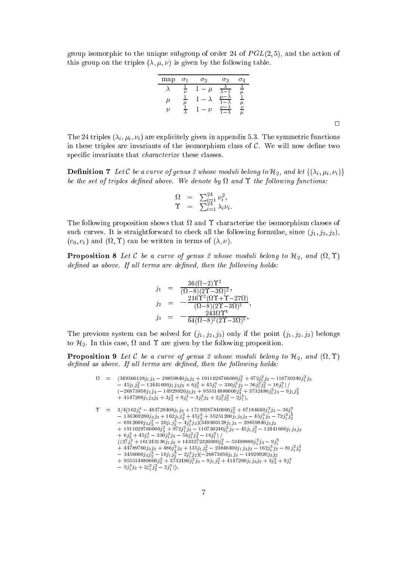group isomorphic to the unique subgroup of order 24 of  $PGL(2,5)$ , and the action of this group on the triples  $(\lambda, \mu, \nu)$  is given by the following table.

| map | $\sigma_1$     | $\sigma_2$ | $\sigma_3$ | $\sigma_4$                |
|-----|----------------|------------|------------|---------------------------|
|     | $\overline{U}$ | $\mu$      |            |                           |
| μ   | μ              |            |            | $\mu$                     |
| ν   |                | $\nu$      |            | $\overline{\nu}$<br>$\mu$ |
|     |                |            |            |                           |

 $\Box$ 

The 24 triples  $(\lambda_i, \mu_i, \nu_i)$  are explicitely given in appendix 5.3. The symmetric functions in these triples are invariants of the isomorphism class of  $\mathcal{C}$ . We will now define two specific invariants that *characterize* these classes.

**Definition 7** Let C be a curve of genus 2 whose moduli belong to  $\mathcal{H}_2$ , and let  $\{(\lambda_i, \mu_i, \nu_i)\}$ be the set of triples dened above. We denote by and the fol lowing fun
tions:

$$
\begin{array}{ccl} \Omega &=& \sum_{i=1}^{24} \nu_i^2, \\ \Upsilon &=& \sum_{i=1}^{24} \lambda_i \nu_i. \end{array}
$$

The following proposition shows that and hara
terize the isomorphism lasses of such curves. It is straightforward to check all the following formulae, since  $(i_1, i_2, i_3)$ ,  $(c_0, c_1)$  and  $(\Omega, \Upsilon)$  can be written in terms of  $(\lambda, \nu)$ .

**Proposition 8** Let C be a curve of genus 2 whose moduli belong to  $\mathcal{H}_2$ , and  $(\Omega, \Upsilon)$  $defined$  as above. If all terms are defined, then the following holds:

$$
\begin{array}{rcl} j_1 & = & \displaystyle \frac{36(\Omega-2)\Upsilon^2}{(\Omega-8)(2\Upsilon-3\Omega)^2}, \\[2mm] j_2 & = & \displaystyle -\frac{216\Upsilon^2(\Omega\Upsilon+\Upsilon-27\Omega)}{(\Omega-8)(2\Upsilon-3\Omega)^3}, \\[2mm] j_3 & = & \displaystyle -\frac{243\Omega\Upsilon^4}{64(\Omega-8)^2(2\Upsilon-3\Omega)^5}. \end{array}
$$

The previous system can be solved for  $(j_1, j_2, j_3)$  only if the point  $(j_1, j_2, j_3)$  belongs to the following are given by this control of the following proposition. The following proposition

**Proposition 9** Let C be a curve of genus 2 whose moduli belong to  $\mathcal{H}_2$ , and  $(\Omega, \Upsilon)$ defined as above. If all terms are defined, then the following holds:

 <sup>=</sup> (349360128j1 j3 29859840j3 j2 + 1911029760000j <sup>3</sup> + 972j <sup>1</sup> j2 110730240j <sup>1</sup> j3 45j1j <sup>2</sup> 12441600j1 j3j2 + 6j <sup>2</sup> + 45j <sup>1</sup> 330j <sup>1</sup> j2 56j <sup>1</sup> <sup>j</sup> <sup>2</sup> 16j <sup>1</sup> ) <sup>=</sup> (26873856j1 j3 14929920j3 j2 + 955514880000j <sup>3</sup> + 3732480j <sup>1</sup> j3 9j1j <sup>+</sup> 4147200j1 j3 j2 + 3j <sup>2</sup> + 9j <sup>1</sup> 3j <sup>1</sup> j2 + 2j <sup>1</sup> <sup>j</sup> <sup>2</sup> 2j <sup>1</sup> ); <sup>=</sup> 3=4(162j <sup>4</sup> <sup>1</sup> 483729408j1 j3 + 17199267840000j <sup>2</sup> <sup>3</sup> + 67184640j <sup>2</sup> <sup>1</sup> j3 36j <sup>5</sup> <sup>1</sup> 134369280j3 j2 + 162j1 <sup>j</sup> <sup>2</sup> + 45j <sup>2</sup> + 35251200j1 j3j2 45j <sup>1</sup> j2 72j <sup>1</sup> <sup>j</sup> 6912000j3 <sup>j</sup> <sup>2</sup> 20j1j <sup>2</sup> 4j <sup>1</sup> j2)(349360128j1 j3 29859840j3 j2 <sup>+</sup> 1911029760000j <sup>3</sup> + 972j <sup>1</sup> j2 110730240j <sup>1</sup> j3 45j1 <sup>j</sup> <sup>2</sup> 12441600j1 j3j2 <sup>+</sup> 6j <sup>2</sup> + 45j <sup>1</sup> 330j <sup>1</sup> j2 56j <sup>1</sup> <sup>j</sup> <sup>2</sup> 16j <sup>1</sup> ) <sup>=</sup> (27j <sup>1</sup> + 161243136j1 j3 + 1433272320000j <sup>3</sup> 53498880j <sup>1</sup> j3 9j <sup>+</sup> 44789760j3 j2 + 486j <sup>1</sup> j2 + 135j1j <sup>2</sup> 23846400j1 j3j2 162j <sup>1</sup> j2 81j <sup>1</sup> <sup>j</sup> 3456000j3 <sup>j</sup> <sup>2</sup> 10j1j <sup>2</sup> 2j <sup>1</sup> j2)(26873856j1 j3 14929920j3 j2 <sup>+</sup> 955514880000j <sup>3</sup> + 3732480j <sup>1</sup> j3 9j1 <sup>j</sup> <sup>2</sup> + 4147200j1 j3j2 + 3j <sup>2</sup> + 9j 3j <sup>1</sup> j2 + 2j <sup>1</sup> <sup>j</sup> <sup>2</sup> 2j <sup>1</sup> )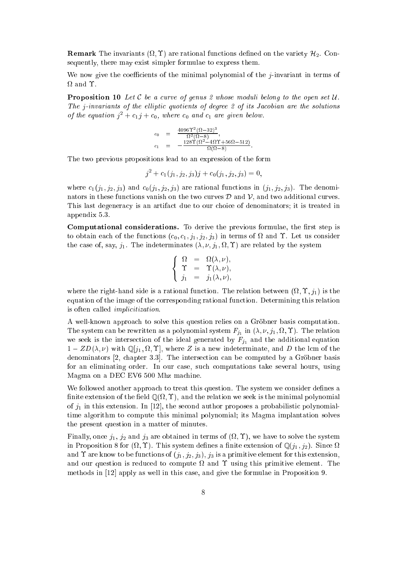**Remark** The invariants ( $\Omega$ ,  $\Upsilon$ ) are rational functions defined on the variety  $\mathcal{H}_2$ . Consequently, there may exist simpler formulae to express them.

We now give the coefficients of the minimal polynomial of the  $j$ -invariant in terms of

**Proposition 10** Let  $C$  be a curve of genus 2 whose moduli belong to the open set  $U$ . The j-invariants of the elliptic quotients of degree 2 of its Jacobian are the solutions of the equation  $j^2 + c_1 j + c_0$ , where  $c_0$  and  $c_1$  are given below.

$$
c_0 = \frac{4096 \Upsilon^2 (\Omega - 32)^3}{\Omega^2 (\Omega - 8)},
$$
  
\n
$$
c_1 = -\frac{128 \Upsilon (\Omega^2 - 4 \Omega \Upsilon + 56 \Omega - 512)}{\Omega (\Omega - 8)}.
$$

The two previous propositions lead to an expression of the form

$$
j^2 + c_1(j_1, j_2, j_3)j + c_0(j_1, j_2, j_3) = 0,
$$

where  $c_1(j_1, j_2, j_3)$  and  $c_0(j_1, j_2, j_3)$  are rational functions in  $(j_1, j_2, j_3)$ . The denominators in these functions vanish on the two curves  $\mathcal D$  and  $\mathcal V$ , and two additional curves. This last degeneracy is an artifact due to our choice of denominators; it is treated in appendix 5.3.

**Computational considerations.** To derive the previous formulae, the first step is to obtain each of the functions  $(c_0, c_1, j_1, j_2, j_3)$  in terms of  $\Omega$  and  $\Upsilon$ . Let us consider the case of, say,  $j_1$ . The indeterminates  $(\lambda, \nu, j_1, \Omega, \Upsilon)$  are related by the system

$$
\left\{\begin{array}{rcl}\Omega&=&\Omega(\lambda,\nu),\\ \Upsilon&=&\Upsilon(\lambda,\nu),\\ j_1&=&j_1(\lambda,\nu),\end{array}\right.
$$

where the right-hand side is a rational function. The relation between  $(\Omega, \Upsilon, j_1)$  is the equation of the image of the orresponding rational fun
tion. Determining this relation is often called *implicitization*.

A well-known approach to solve this question relies on a Gröbner basis computation. The system can be rewritten as a polynomial system  $F_{j_1}$  in  $(\lambda, \nu, j_1, \Omega, \Upsilon)$ . The relation we seek is the intersection of the ideal generated by  $F_{j_1}$  and the additional equation  $1 - ZD(\lambda, \nu)$  with  $\mathbb{Q}[j_1, \Omega, \Upsilon]$ , where Z is a new indeterminate, and D the lcm of the denominators  $[2,$  chapter 3.3. The intersection can be computed by a Gröbner basis for an eliminating order. In our ase, su
h omputations take several hours, using Magma on a DEC EV6 500 Mhz ma
hine.

We followed another approach to treat this question. The system we consider defines a  $\min$  or a consistent of the field  $\mathcal{L}(\mathfrak{so},\mathfrak{so})$ , and the relation we seek is the minimal polynomial of  $j_1$  in this extension. In [12], the second author proposes a probabilistic polynomialtime algorithm to ompute this minimal polynomial; its Magma implantation solves the present question in a matter of minutes.

Finally, once  $j_1$ ,  $j_2$  and  $j_3$  are obtained in terms of  $(\Omega, \Upsilon)$ , we have to solve the system in Proposition 8 for  $(\Omega, \Upsilon)$ . This system defines a finite extension of  $\mathbb{Q}(j_1, j_2)$ . Since  $\Omega$ and  $\Upsilon$  are know to be functions of  $(j_1, j_2, j_3)$ ,  $j_3$  is a primitive element for this extension, and our question is redu
ed to ompute and using this primitive element. The methods in  $[12]$  apply as well in this case, and give the formulae in Proposition 9.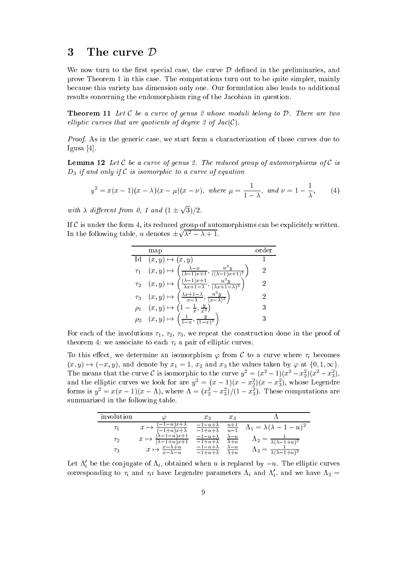## 3 The curve  $\mathcal D$

We now turn to the first special case, the curve  $\mathcal D$  defined in the preliminaries, and prove Theorem 1 in this ase. The omputations turn out to be quite simpler, mainly be
ause this variety has dimension only one. Our formulation also leads to additional results concerning the endomorphism ring of the Jacobian in question.

**Theorem 11** Let C be a curve of genus 2 whose moduli belong to  $D$ . There are two elliptic curves that are quotients of degree 2 of  $Jac(C)$ .

Proof. As in the generic case, we start form a characterization of those curves due to Igusa  $[4]$ .

**Lemma 12** Let C be a curve of genus 2. The reduced group of automorphisms of C is  $D_3$  if and only if C is isomorphic to a curve of equation

$$
y^{2} = x(x - 1)(x - \lambda)(x - \mu)(x - \nu), \text{ where } \mu = \frac{1}{1 - \lambda}, \text{ and } \nu = 1 - \frac{1}{\lambda}, \qquad (4)
$$

with  $\lambda$  different from 0, 1 and  $(1 \pm \sqrt{3})/2$ .

If  $\mathcal C$  is under the form 4, its reduced group of automorphisms can be explicitely written. In the following table, u denotes  $\pm\sqrt{\lambda^2 - \lambda + 1}$ .

|          | map                                                                                                                                               |   |
|----------|---------------------------------------------------------------------------------------------------------------------------------------------------|---|
|          | Id $(x, y) \mapsto (x, y)$                                                                                                                        |   |
|          | $\tau_1$ $(x, y) \mapsto \left(\frac{\lambda - x}{(\lambda - 1)x + 1}, \frac{u^3y}{((\lambda - 1)x + 1)^3}\right)$                                | 2 |
|          | $\frac{(\lambda-1)x+1}{\lambda x+1-\lambda}, \frac{u^3y}{(\lambda x+1-\lambda)^3}$<br>$\left(\frac{(\lambda-1)x+1}{x}\right)$<br>$\tau_2$ $(x,y)$ | 2 |
|          | $\frac{\lambda x+1-\lambda}{x-\lambda}, \frac{u^3y}{(x-\lambda)^3}$<br>$\tau_3$ $(x,y)$ +                                                         | 2 |
| $\rho_1$ | $(x,y) \mapsto \left(1-\frac{1}{x},\frac{y}{x^3}\right)$                                                                                          | 3 |
|          | $\left(\frac{1}{1-x}, \frac{y}{(1-x)^3}\right)$<br>$\rho_2$ $(x,y) \mapsto$                                                                       |   |

For each of the involutions  $\tau_1$ ,  $\tau_2$ ,  $\tau_3$ , we repeat the construction done in the proof of theorem 4: we associate to each  $\tau_i$  a pair of elliptic curves.

To this effect, we determine an isomorphism  $\varphi$  from C to a curve where  $\tau_i$  becomes  $(x, y) \mapsto (-x, y)$ , and denote by  $x_1 = 1$ ,  $x_2$  and  $x_3$  the values taken by  $\varphi$  at  $\{0, 1, \infty\}.$ The means that the curve C is isomorphic to the curve  $y^2 = (x^2 - 1)(x^2 - x_2^2)(x^2 - x_3^2)$ , and the emptic curves we look for are  $y^2 = (x - 1)(x - x_2)(x - x_3)$ , whose Legendre forms is  $y^2 = x(x-1)(x-\Lambda)$ , where  $\Lambda = (x_2^2 - x_3^2)/(1 - x_3^2)$ . These computations are summarized in the following table.

| involution |                                                                  | $x_{2}$                                          | $x_3$                                   |                                                |
|------------|------------------------------------------------------------------|--------------------------------------------------|-----------------------------------------|------------------------------------------------|
|            | $(u)$ $x + \lambda$<br>$\overline{-1+u}$ x+ $\overline{\lambda}$ | $\frac{-1-u+\lambda}{\lambda}$<br>$-1+u+\lambda$ | $\frac{u+1}{u-1}$                       | $\Lambda_1 = \lambda(\lambda - 1 - u)^2$       |
| $\tau_2$   | $\lambda-1-u)x+1$<br>$\overline{-1+u)x+1}$                       | $-1-u+\lambda$<br>$-1+u+\lambda$                 | $\lambda - u$<br>$\overline{\lambda+u}$ | $\Lambda_2 = \frac{1}{\lambda(\lambda-1+u)^2}$ |
| $\tau_3$   | $\frac{x-\lambda+u}{x-\lambda-u}$                                | $-1-u+\lambda$<br>$-1+u+\lambda$                 | $\lambda - u$<br>$\overline{\lambda+u}$ | $\lambda(\lambda-1+u)^2$                       |

Let  $\Lambda_i$  be the conjugate of  $\Lambda_i,$  obtained when  $u$  is replaced by  $-u.$  The elliptic curves corresponding to  $\tau_i$  and  $\tau_i\iota$  have Legendre parameters  $\Lambda_i$  and  $\Lambda_i$ , and we have  $\Lambda_2 =$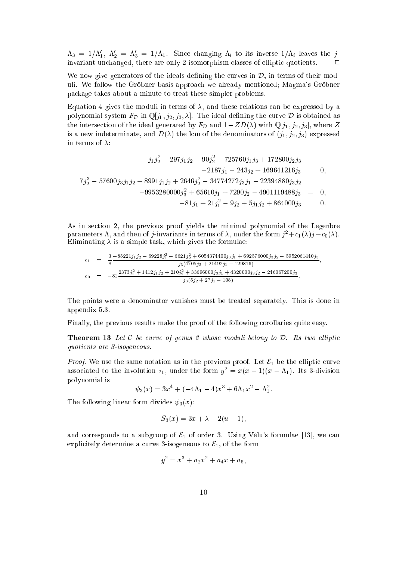$\Lambda_3 = 1/\Lambda'_1, \ \Lambda'_2 = \Lambda'_3 = 1/\Lambda_1.$  Since changing  $\Lambda_i$  to its inverse  $1/\Lambda_i$  leaves the jinvariant unchanged, there are only 2 isomorphism classes of elliptic quotients.  $\Box$ 

We now give generators of the ideals defining the curves in  $\mathcal{D}$ , in terms of their moduli. We follow the Gröbner basis approach we already mentioned; Magma's Gröbner pa
kage takes about a minute to treat these simpler problems.

Equation 4 gives the moduli in terms of  $\lambda$ , and these relations can be expressed by a polynomial system  $F_{\mathcal{D}}$  in  $\mathbb{Q}[j_1, j_2, j_3, \lambda]$ . The ideal defining the curve  $\mathcal D$  is obtained as the intersection of the ideal generated by  $F_{\mathcal{D}}$  and  $1 - ZD(\lambda)$  with  $\mathbb{Q}[j_1, j_2, j_3]$ , where Z is a new indeterminate, and  $D(\lambda)$  the lcm of the denominators of  $(j_1, j_2, j_3)$  expressed in terms of  $\lambda$ :

$$
j_1 j_2^2 - 297j_1 j_2 - 90j_2^2 - 725760j_1 j_3 + 172800j_2 j_3
$$
  
\n
$$
-2187j_1 - 243j_2 + 169641216j_3 = 0,
$$
  
\n
$$
7j_2^3 - 57600j_3 j_1 j_2 + 8991j_1 j_2 + 2646j_2^2 - 34774272j_3 j_1 - 22394880j_3 j_2
$$
  
\n
$$
-9953280000j_3^2 + 65610j_1 + 7290j_2 - 4901119488j_3 = 0,
$$
  
\n
$$
-81j_1 + 21j_1^2 - 9j_2 + 5j_1 j_2 + 864000j_3 = 0.
$$

As in section 2, the previous proof yields the minimal polynomial of the Legenbre parameters  $\Lambda$ , and then of j-invariants in terms of  $\lambda$ , under the form  $j^2+c_1(\lambda)j+c_0(\lambda)$ . Eliminating  $\lambda$  is a simple task, which gives the formulae:

$$
c_1 = \frac{3}{8} \frac{-85221j_1j_2 - 69228j_1^2 - 6621j_2^2 + 6054374400j_3j_1 + 692576000j_3j_2 - 5952061440j_3}{j_3(4705j_2 + 21492j_1 - 129816)},
$$
  
\n
$$
c_0 = -81 \frac{2373j_1^2 + 1412j_1j_2 + 210j_2^2 + 33696000j_3j_1 + 4320000j_3j_2 - 246067200j_3}{j_3(5j_2 + 27j_1 - 108)}.
$$

The points were a denominator vanishes must be treated separately. This is done in appendix 5.3.

Finally, the previous results make the proof of the following corollaries quite easy.

**Theorem 13** Let C be curve of genus 2 whose moduli belong to  $D$ . Its two elliptic quotients are 3-isogeneous.

*Proof.* We use the same notation as in the previous proof. Let  $\mathcal{E}_1$  be the elliptic curve associated to the involution  $\tau_1$ , under the form  $y^2 = x(x-1)(x-\Lambda_1)$ . Its 3-division polynomial is

 $\psi_3(x) = 3x^4 + (-4\Lambda_1 - 4)x^3 + 6\Lambda_1 x^2 - \Lambda_1^2.$ 

The following linear form divides  $\psi_3(x)$ :

$$
S_3(x) = 3x + \lambda - 2(u + 1),
$$

and corresponds to a subgroup of  $\mathcal{E}_1$  of order 3. Using Vélu's formulae [13], we can explicitely determine a curve 3-isogeneous to  $\mathcal{E}_1$ , of the form

$$
y^2 = x^3 + a_2 x^2 + a_4 x + a_6,
$$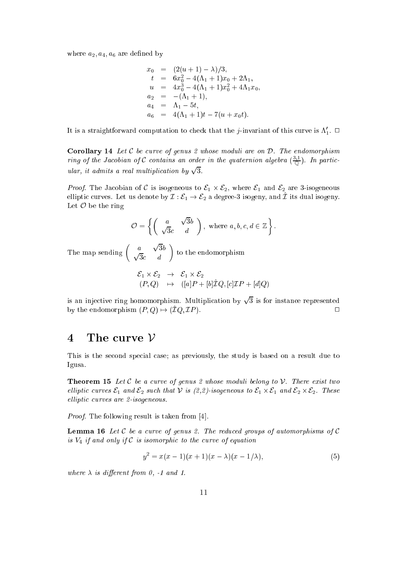where  $a_2, a_4, a_6$  are defined by

$$
x_0 = (2(u + 1) - \lambda)/3,
$$
  
\n
$$
t = 6x_0^2 - 4(\Lambda_1 + 1)x_0 + 2\Lambda_1,
$$
  
\n
$$
u = 4x_0^3 - 4(\Lambda_1 + 1)x_0^2 + 4\Lambda_1x_0,
$$
  
\n
$$
a_2 = -(\Lambda_1 + 1),
$$
  
\n
$$
a_4 = \Lambda_1 - 5t,
$$
  
\n
$$
a_6 = 4(\Lambda_1 + 1)t - 7(u + x_0t).
$$

It is a straightforward computation to check that the *j*-invariant of this curve is  $\Lambda'_1$ .  $\Box$ 

**Corollary 14** Let  $C$  be curve of genus 2 whose moduli are on  $D$ . The endomorphism ring of the Jacobian of C contains an order in the quaternion algebra  $(\frac{\cdot \cdot}{\cap})$ . In particular, it admits a real multiplication by  $\sqrt{3}$ .

Proof. The Ja
obian of <sup>C</sup> is isogeneous to E1 - E2, where E1 and E2 are 3-isogeneous emplic curves. Let us denote by  $L'$  .  $C_1 \rightarrow C_2$  a degree-3 isogeny, and  $L$  its dual isogeny. Let  $\mathcal O$  be the ring

$$
\mathcal{O} = \left\{ \left( \begin{array}{cc} a & \sqrt{3}b \\ \sqrt{3}c & d \end{array} \right), \text{ where } a, b, c, d \in \mathbb{Z} \right\}.
$$

The map sending  $\begin{pmatrix} a & \sqrt{3}b \\ \sqrt{3}c & d \end{pmatrix}$  $\sim$   $\sim$ to the endomorphism of the endomorphism of the endomorphism of the endomorphism of the endomorphism of the endomorphism

$$
\begin{array}{rcl}\n\mathcal{E}_1 \times \mathcal{E}_2 & \rightarrow & \mathcal{E}_1 \times \mathcal{E}_2 \\
(P, Q) & \mapsto & ([a]P + [b]\hat{\mathcal{I}}Q, [c]\mathcal{I}P + [d]Q)\n\end{array}
$$

is an injective ring homomorphism. Multiplication by  $\sqrt{3}$  is for instance represented by the endomorphism  $(P, Q) \mapsto (\hat{\mathcal{I}}Q, \mathcal{I}P)$ .

#### The curve  $V$  $\overline{\mathbf{4}}$

This is the second special case; as previously, the study is based on a result due to Igusa.

**Theorem 15** Let C be a curve of genus 2 whose moduli belong to V. There exist two el liptic En and E2 such that V is (2,2)-isogeneous to E1 - I such to E2 - I - I - I - I - I - I - I - I - I elliptic curves are 2-isogeneous.

*Proof.* The following result is taken from  $[4]$ .

**Lemma 16** Let C be a curve of genus 2. The reduced groups of automorphisms of C is  $V_4$  if and only if  $\mathcal C$  is isomorphic to the curve of equation

$$
y^{2} = x(x - 1)(x + 1)(x - \lambda)(x - 1/\lambda),
$$
\n(5)

where  $\lambda$  is different from 0, -1 and 1.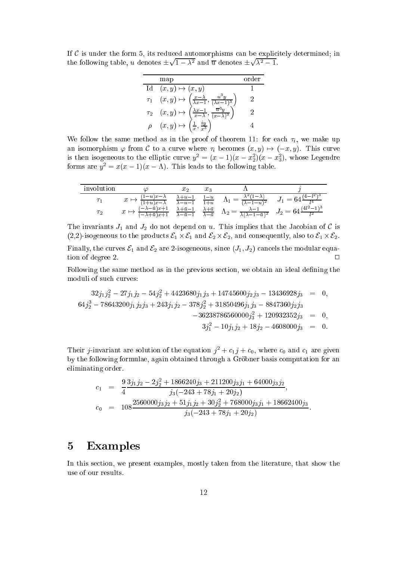If  $\mathcal C$  is under the form 5, its reduced automorphisms can be explicitely determined; in the following table, u denotes  $\pm \sqrt{1-\lambda^2}$  and  $\overline{u}$  denotes  $\pm \sqrt{\lambda^2-1}$ .

|          | map                                                                                                                                                                                                               | order |
|----------|-------------------------------------------------------------------------------------------------------------------------------------------------------------------------------------------------------------------|-------|
|          | Id $(x, y) \mapsto (x, y)$                                                                                                                                                                                        |       |
|          |                                                                                                                                                                                                                   |       |
|          | $\tau_1$ $(x, y) \mapsto \left(\frac{x-\lambda}{\lambda x-1}, \frac{u^3y}{(\lambda x-1)^3}\right)$<br>$\tau_2$ $(x, y) \mapsto \left(\frac{\lambda x-1}{x-\lambda}, \frac{\overline{u}^3y}{(x-\lambda)^3}\right)$ |       |
| $\rho_-$ | $\left(\frac{1}{x},\frac{iy}{x^3}\right)$<br>$(x, y) \mapsto ($                                                                                                                                                   |       |

We follow the same method as in the proof of theorem 11: for each  $\tau_i$ , we make up an isomorphism  $\varphi$  from C to a curve where  $\tau_i$  becomes  $(x, y) \mapsto (-x, y)$ . This curve is then isogeneous to the elliptic curve  $y^2 = (x-1)(x-x_2^2)(x-x_3^2)$ , whose Legendre forms are  $y^2 = x(x-1)(x - \Lambda)$ . This leads to the following table.

| involution |  |                                                                                                                                                                                                                                                         |  |
|------------|--|---------------------------------------------------------------------------------------------------------------------------------------------------------------------------------------------------------------------------------------------------------|--|
|            |  | $\mapsto \frac{(1-u)x-\lambda}{(1+u)x-\lambda}$ $\frac{\lambda+u-1}{\lambda-u-1}$ $\frac{1-u}{1+u}$ $\Lambda_1 = \frac{\lambda^2(1-\lambda)}{(\lambda-1-u)^2}$ $J_1 = 64\frac{(4-l^2)^3}{l^4}$                                                          |  |
| $\tau_2$   |  | $\rightarrow \frac{(-\lambda-\bar{u})x+1}{(-\lambda+\bar{u})x+1}$ $\frac{\lambda+\bar{u}-1}{\lambda-\bar{u}-1}$ $\frac{\lambda+\bar{u}}{\lambda-\bar{u}}$ $\Lambda_2 = \frac{\lambda-1}{\lambda(\lambda-1-\bar{u})^2}$ $J_2 = 64\frac{(4l^2-1)^3}{l^2}$ |  |

The invariants  $J_1$  and  $J_2$  do not depend on u. This implies that the Jacobian of C is (2,2)-isogeneous to the produ
ts E1 - E1 and E2 - E2, and onsequently, also to E1 - E2. Finally, the curves  $\mathcal{E}_1$  and  $\mathcal{E}_2$  are 2-isogeneous, since  $(J_1, J_2)$  cancels the modular equation of degree 2.  $\Box$ 

Following the same method as in the previous section, we obtain an ideal defining the moduli of su
h urves:

$$
32j_1j_2^2 - 27j_1j_2 - 54j_2^2 + 4423680j_1j_3 + 14745600j_2j_3 - 13436928j_3 = 0,
$$
  
\n
$$
64j_2^3 - 78643200j_1j_2j_3 + 243j_1j_2 - 378j_2^2 + 31850496j_1j_3 - 8847360j_2j_3
$$
  
\n
$$
-36238786560000j_3^2 + 120932352j_3 = 0,
$$
  
\n
$$
3j_1^2 - 10j_1j_2 + 18j_2 - 4608000j_3 = 0.
$$

Their *j*-invariant are solution of the equation  $j^2 + c_1 j + c_0$ , where  $c_0$  and  $c_1$  are given by the following formulae, again obtained through a Gröbner basis computation for an eliminating order.

$$
c_1 = \frac{9}{4} \frac{3j_1j_2 - 2j_2^2 + 1866240j_3 + 211200j_3j_1 + 64000j_3j_2}{j_3(-243 + 78j_1 + 20j_2)},
$$
  
\n
$$
c_0 = 108 \frac{2560000j_3j_2 + 51j_1j_2 + 30j_2^2 + 768000j_3j_1 + 18662400j_3}{j_3(-243 + 78j_1 + 20j_2)}.
$$

## 5 Examples

In this section, we present examples, mostly taken from the literature, that show the use of our results.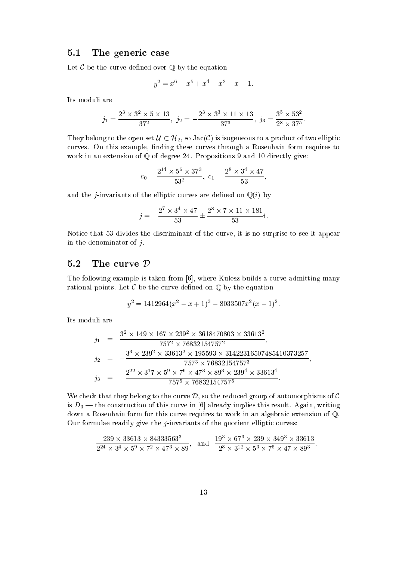### 5.1 The generic case

Let  $C$  be the curve defined over  $\mathbb Q$  by the equation

$$
y^2 = x^6 - x^5 + x^4 - x^2 - x - 1.
$$

Its moduli are

$$
j_1 = \frac{2^3 \times 3^2 \times 5 \times 13}{37^2}, \ j_2 = -\frac{2^3 \times 3^3 \times 11 \times 13}{37^3}, \ j_3 = \frac{3^5 \times 53^2}{2^8 \times 37^5}.
$$

They belong to the open set  $\mathcal{U} \subset \mathcal{H}_2$ , so  $Jac(\mathcal{C})$  is isogeneous to a product of two elliptic curves. On this example, finding these curves through a Rosenhain form requires to work in an extension of  $Q$  of degree 24. Propositions 9 and 10 directly give:

$$
c_0 = \frac{2^{14} \times 5^6 \times 37^3}{53^2}, \ c_1 = \frac{2^8 \times 3^4 \times 47}{53},
$$

and the *j*-invariants of the elliptic curves are defined on  $\mathbb{Q}(i)$  by

$$
j = -\frac{2^7 \times 3^4 \times 47}{53} \pm \frac{2^8 \times 7 \times 11 \times 181}{53}i.
$$

Notice that 53 divides the discriminant of the curve, it is no surprise to see it appear in the denominator of  $i$ .

### 5.2 The curve  $\mathcal D$

The following example is taken from  $[6]$ , where Kulesz builds a curve admitting many rational points. Let  $\mathcal C$  be the curve defined on  $\mathbb Q$  by the equation

$$
y^2 = 1412964(x^2 - x + 1)^3 - 8033507x^2(x - 1)^2.
$$

Its moduli are

$$
j_1 = \frac{3^2 \times 149 \times 167 \times 239^2 \times 3618470803 \times 33613^2}{757^2 \times 76832154757^2},
$$
  
\n
$$
j_2 = -\frac{3^3 \times 239^2 \times 33613^2 \times 195593 \times 31422316507485410373257}{757^3 \times 76832154757^3},
$$
  
\n
$$
j_3 = -\frac{2^{22} \times 3^17 \times 5^9 \times 7^6 \times 47^3 \times 89^3 \times 239^4 \times 33613^4}{757^5 \times 76832154757^5}.
$$

We check that they belong to the curve  $D$ , so the reduced group of automorphisms of  $C$ is  $D_3$  — the construction of this curve in [6] already implies this result. Again, writing down a Rosenhain form for this curve requires to work in an algebraic extension of  $\mathbb{Q}$ . Our formulae readily give the  $j$ -invariants of the quotient elliptic curves:

$$
\frac{239 \times 33613 \times 84333563^3}{2^{24} \times 3^4 \times 5^9 \times 7^2 \times 47^3 \times 89}, \text{ and } \frac{19^3 \times 67^3 \times 239 \times 349^3 \times 33613}{2^8 \times 3^{12} \times 5^3 \times 7^6 \times 47 \times 89^3}.
$$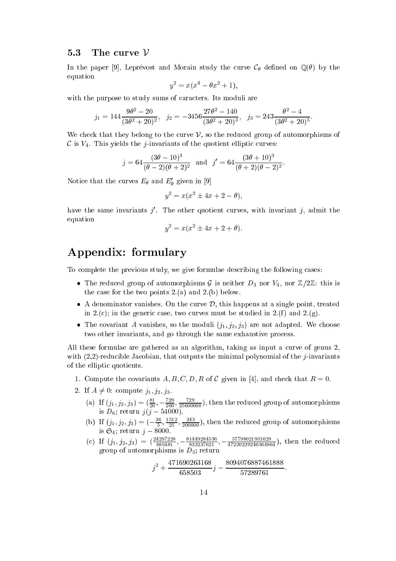#### $5.3$ The curve  $\mathcal V$

In the paper [9], Leprévost and Morain study the curve  $\mathcal{C}_{\theta}$  defined on  $\mathbb{Q}(\theta)$  by the equation

$$
y^2 = x(x^4 - \theta x^2 + 1),
$$

with the purpose to study sums of caracters. Its moduli are

$$
j_1 = 144 \frac{9\theta^2 - 20}{(3\theta^2 + 20)^2}
$$
,  $j_2 = -3456 \frac{27\theta^2 - 140}{(3\theta^2 + 20)^3}$ ,  $j_3 = 243 \frac{\theta^2 - 4}{(3\theta^2 + 20)^5}$ .

We check that they belong to the curve  $\mathcal V$ , so the reduced group of automorphisms of C is  $V_4$ . This yields the *j*-invariants of the quotient elliptic curves:

$$
j = 64 \frac{(3\theta - 10)^3}{(\theta - 2)(\theta + 2)^2}
$$
 and  $j' = 64 \frac{(3\theta + 10)^3}{(\theta + 2)(\theta - 2)^2}$ .

Notice that the curves  $E_{\theta}$  and  $E_{\theta}'$  given in [9]

$$
y^2 = x(x^2 \pm 4x + 2 - \theta),
$$

have the same invariants  $j'$ . The other quotient curves, with invariant  $j$ , admit the equation

$$
y^2 = x(x^2 \pm 4x + 2 + \theta).
$$

## Appendix: formulary

To complete the previous study, we give formulae describing the following cases:

- The reduced group of automorphisms G is neither  $D_3$  nor  $V_4$ , nor  $\mathbb{Z}/2\mathbb{Z}$ : this is the ase for the two points 2.(a) and 2.(b) below.
- a denominator vanishes. On the case of the single point, the single points, treated the in 2.(c); in the generic case, two curves must be studied in 2.(f) and 2.(g).
- The covariant A vanishes, so the moduli  $(j_1, j_2, j_3)$  are not adapted. We choose two other invariants, and go through the same exhaustive process.

All these formulae are gathered as an algorithm, taking as input a curve of genus 2, with  $(2,2)$ -reducible Jacobian, that outputs the minimal polynomial of the *j*-invariants of the elliptic quotients.

- 1. Compute the covariants A, B, C, D, R of C given in [4], and check that  $R = 0$ .
- 2. If  $A \neq 0$ : compute  $j_1, j_2, j_3$ .
	- (a) If  $(j_1, j_2, j_3) = (\frac{61}{20}, -\frac{729}{200}, \frac{729}{2560000})$ , then the reduced group of automorphisms is  $D_6$ ; return  $j(j - 54000)$ .
	- (b) If  $(j_1, j_2, j_3) = \left(-\frac{36}{5}, \frac{1512}{25}, \frac{243}{200000}\right)$ , then the reduced group of automorphisms is  $\mathfrak{S}_4$ ; return  $j 8000$ .
	- (c) If  $(j_1, j_2, j_3) = (\frac{24297228}{885481}, -\frac{81449284556}{833237621}, -\frac{57798021931029}{47220229240364864}),$  then the reduced group of automorphisms is  $D_3$ ; return

$$
j^2+\frac{471690263168}{658503}j-\frac{8094076887461888}{57289761}
$$

: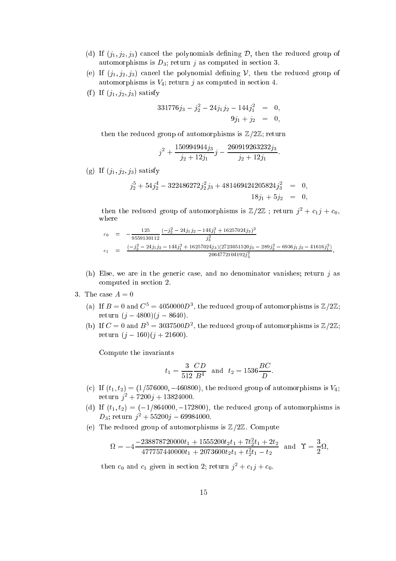- (d) If  $(j_1, j_2, j_3)$  cancel the polynomials defining  $D$ , then the reduced group of automorphisms is  $D_3$ ; return j as computed in section 3.
- (e) If  $(j_1, j_2, j_3)$  cancel the polynomial defining V, then the reduced group of automorphisms is  $V_4$ ; return j as computed in section 4.
- (f) If  $(j_1, j_2, j_3)$  satisfy

$$
331776j_3 - j_2^2 - 24j_1j_2 - 144j_1^2 = 0,
$$
  

$$
9j_1 + j_2 = 0,
$$

then the reduced group of automorphisms is  $\mathbb{Z}/2\mathbb{Z}$ ; return

$$
j^2 + \frac{150994944j_3}{j_2 + 12j_1}j - \frac{260919263232j_3}{j_2 + 12j_1}
$$

:

(g) If  $(j_1, j_2, j_3)$  satisfy

$$
j_2^5 + 54j_2^4 - 322486272j_2^2j_3 + 481469424205824j_3^2 = 0,
$$
  
\n $18j_1 + 5j_2 = 0,$ 

then the reduced group of automorphisms is  $\mathbb{Z}/2\mathbb{Z}$ ; return  $j^2 + c_1j + c_0$ , where

$$
c_0 = -\frac{125}{9559130112} \frac{(-j_2^2 - 24j_1j_2 - 144j_1^2 + 16257024j_3)^2}{j_3^2}
$$
  
\n
$$
c_1 = \frac{(-j_2^2 - 24j_1j_2 - 144j_1^2 + 16257024j_3)(2723051520j_3 - 289j_2^2 - 6936j_1j_2 - 41616j_1^2)}{2064772104192j_3^2},
$$

 $\overline{\phantom{a}}$ 

:

- (h) Else, we are in the generic case, and no denominator vanishes; return  $j$  as omputed in se
tion 2.
- 3. The case  $A = 0$ 
	- (a) If  $B=0$  and  $C^5=4050000D^3$ , the reduced group of automorphisms is  $\mathbb{Z}/2\mathbb{Z}$ ; return  $(j - 4800)(j - 8640)$ .
	- (b) If  $C = 0$  and  $B^5 = 3037500D^2$ , the reduced group of automorphisms is  $\mathbb{Z}/2\mathbb{Z}$ ; return  $(j - 160)(j + 21600)$ .

Compute the invariants

$$
t_1 = \frac{3}{512} \frac{CD}{B^4}
$$
 and  $t_2 = 1536 \frac{BC}{D}$ 

- (c) If  $(t_1, t_2) = (1/576000, -460800)$ , the reduced group of automorphisms is  $V_4$ ; return  $j^2 + 7200j + 13824000$ .
- (d) If  $(t_1, t_2) = (-1/864000, -172800)$ , the reduced group of automorphisms is  $D_3; \ \mathrm{return} \ \ j^2 + 55200j - 69984000.$
- (e) The reduced group of automorphisms is  $\mathbb{Z}/2\mathbb{Z}$ . Compute

$$
\Omega = -4 \frac{-238878720000t_1 + 1555200t_2t_1 + 7t_2^2t_1 + 2t_2}{477757440000t_1 + 2073600t_2t_1 + t_2^2t_1 - t_2}
$$
 and  $\Upsilon = \frac{3}{2}\Omega$ ,

then  $c_0$  and  $c_1$  given in section 2; return  $j^2 + c_1 j + c_0$ .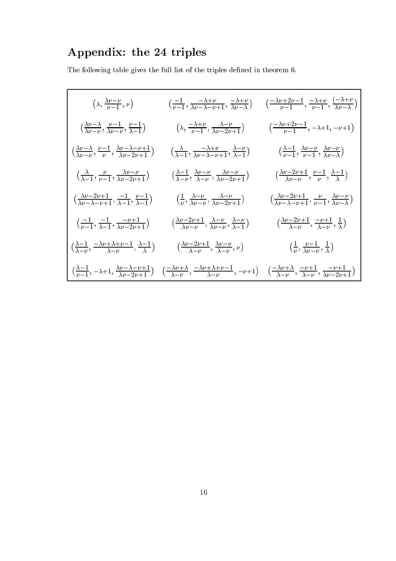# Appendix: the 24 triples

The following table gives the full list of the triples defined in theorem  $6. \,$ 

$$
\left(\lambda, \frac{\lambda\nu-\nu}{\nu-1}, \nu\right) \qquad \left(\frac{-1}{\nu-1}, \frac{-\lambda+\nu}{\lambda\nu-\lambda-\nu+1}, \frac{-\lambda+\nu}{\lambda\nu-\lambda}\right) \qquad \left(\frac{-\lambda\nu+2\nu-1}{\nu-1}, \frac{-\lambda+\nu}{\nu-1}, \frac{-\lambda+\nu}{\lambda\nu-\lambda}\right)
$$
\n
$$
\left(\frac{\lambda\nu-\lambda}{\lambda\nu-\nu}, \frac{\nu-1}{\lambda\nu-\nu}, \frac{\nu-1}{\lambda-1}\right) \qquad \left(\lambda, \frac{-\lambda+\nu}{\nu-1}, \frac{\lambda-\nu}{\lambda\nu-2\nu+1}\right) \qquad \left(\frac{-\lambda\nu+2\nu-1}{\nu-1}, -\lambda+1, -\nu+1\right)
$$
\n
$$
\left(\frac{\lambda\nu-\lambda}{\lambda\nu-\nu}, \frac{\nu-1}{\nu}, \frac{\lambda\nu-\lambda-\nu+1}{\lambda\nu-2\nu+1}\right) \qquad \left(\frac{\lambda}{\lambda-1}, \frac{-\lambda+\nu}{\lambda\nu-\lambda-\nu+1}, \frac{\lambda-\nu}{\lambda-1}\right) \qquad \left(\frac{\lambda-1}{\nu-1}, \frac{\lambda\nu-\nu}{\nu-1}, \frac{\lambda\nu-\nu}{\lambda\nu-\lambda}\right)
$$
\n
$$
\left(\frac{\lambda}{\lambda-1}, \frac{\nu}{\nu-1}, \frac{\lambda\nu-\nu}{\lambda\nu-2\nu+1}\right) \qquad \left(\frac{\lambda-1}{\lambda-\nu}, \frac{\lambda\nu-\nu}{\lambda-\nu}, \frac{\lambda\nu-\nu}{\lambda\nu-2\nu+1}\right) \qquad \left(\frac{\lambda\nu-2\nu+1}{\lambda\nu-\nu}, \frac{\nu-1}{\nu}, \frac{\lambda-1}{\lambda}\right)
$$
\n
$$
\left(\frac{\lambda\nu-2\nu+1}{\lambda\nu-\lambda-\nu+1}, \frac{-1}{\lambda-1}, \frac{\nu-1}{\lambda-1}\right) \qquad \left(\frac{1}{\nu}, \frac{\lambda-\nu}{\lambda\nu-\nu}, \frac{\lambda-\nu}{\lambda\nu-2\nu+1}\right) \qquad \left(\frac{\lambda\nu-2\nu+1}{\lambda\nu-\lambda-\nu+1}, \frac{\nu}{\nu-1}, \frac{\lambda-\nu}{\lambda\nu-\lambda}\right)
$$
\n
$$
\left(\frac{-1}{\nu-1}, \frac{-1}{\lambda
$$